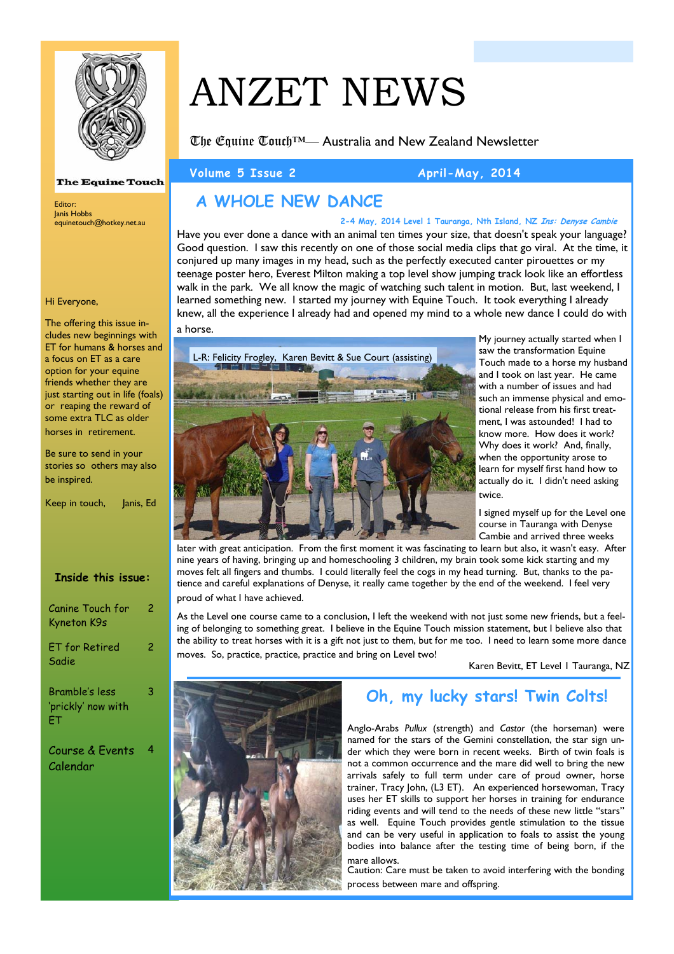

#### **The Equine Touch**

Editor: Janis Hobbs equinetouch@hotkey.net.au

#### Hi Everyone,

The offering this issue includes new beginnings with ET for humans & horses and a focus on ET as a care option for your equine friends whether they are just starting out in life (foals) or reaping the reward of some extra TLC as older horses in retirement.

Be sure to send in your stories so others may also be inspired.

|  | Keep in touch, | Janis, Ed |  |
|--|----------------|-----------|--|
|  |                |           |  |

| <b>Inside this issue:</b>                  |   |
|--------------------------------------------|---|
| Canine Touch for<br>Kyneton K9s            | 2 |
| <b>ET</b> for Retired<br>Sadie             | 2 |
| Bramble's less<br>'prickly' now with<br>FТ | 3 |

Course & Events Calendar 4

# ANZET NEWS

The Equine Touch™— Australia and New Zealand Newsletter

Volume 5 Issue 2 April-May, 2014

# **A WHOLE NEW DANCE**

Have you ever done a dance with an animal ten times your size, that doesn't speak your language? Good question. I saw this recently on one of those social media clips that go viral. At the time, it conjured up many images in my head, such as the perfectly executed canter pirouettes or my teenage poster hero, Everest Milton making a top level show jumping track look like an effortless walk in the park. We all know the magic of watching such talent in motion. But, last weekend, I learned something new. I started my journey with Equine Touch. It took everything I already knew, all the experience I already had and opened my mind to a whole new dance I could do with **2-4 May, 2014 Level 1 Tauranga, Nth Island, NZ Ins: Denyse Cambie**

a horse.



My journey actually started when I saw the transformation Equine Touch made to a horse my husband and I took on last year. He came with a number of issues and had such an immense physical and emotional release from his first treatment, I was astounded! I had to know more. How does it work? Why does it work? And, finally, when the opportunity arose to learn for myself first hand how to actually do it. I didn't need asking twice.

I signed myself up for the Level one course in Tauranga with Denyse Cambie and arrived three weeks

later with great anticipation. From the first moment it was fascinating to learn but also, it wasn't easy. After nine years of having, bringing up and homeschooling 3 children, my brain took some kick starting and my moves felt all fingers and thumbs. I could literally feel the cogs in my head turning. But, thanks to the patience and careful explanations of Denyse, it really came together by the end of the weekend. I feel very proud of what I have achieved.

As the Level one course came to a conclusion, I left the weekend with not just some new friends, but a feeling of belonging to something great. I believe in the Equine Touch mission statement, but I believe also that the ability to treat horses with it is a gift not just to them, but for me too. I need to learn some more dance moves. So, practice, practice, practice and bring on Level two!

Karen Bevitt, ET Level 1 Tauranga, NZ



# **Oh, my lucky stars! Twin Colts!**

Anglo-Arabs *Pullux* (strength) and *Castor* (the horseman) were named for the stars of the Gemini constellation, the star sign under which they were born in recent weeks. Birth of twin foals is not a common occurrence and the mare did well to bring the new arrivals safely to full term under care of proud owner, horse trainer, Tracy John, (L3 ET). An experienced horsewoman, Tracy uses her ET skills to support her horses in training for endurance riding events and will tend to the needs of these new little "stars" as well. Equine Touch provides gentle stimulation to the tissue and can be very useful in application to foals to assist the young bodies into balance after the testing time of being born, if the mare allows.

Caution: Care must be taken to avoid interfering with the bonding process between mare and offspring.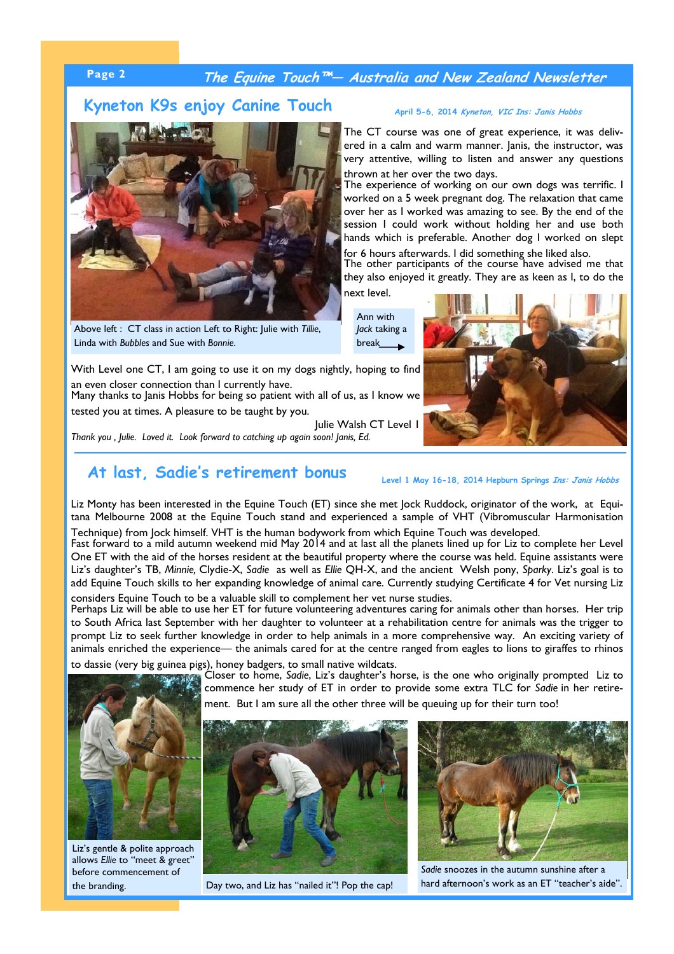### **Page 2 The Equine Touch™— Australia and New Zealand Newsletter**

#### **Kyneton K9s enjoy Canine Touch**



Above left : CT class in action Left to Right: Julie with *Tillie*, Linda with *Bubbles* and Sue with *Bonnie*.

#### **April 5-6, 2014 Kyneton, VIC Ins: Janis Hobbs**

The CT course was one of great experience, it was delivered in a calm and warm manner. Janis, the instructor, was very attentive, willing to listen and answer any questions thrown at her over the two days.

The experience of working on our own dogs was terrific. I worked on a 5 week pregnant dog. The relaxation that came over her as I worked was amazing to see. By the end of the session I could work without holding her and use both hands which is preferable. Another dog I worked on slept for 6 hours afterwards. I did something she liked also.

The other participants of the course have advised me that they also enjoyed it greatly. They are as keen as I, to do the next level.

Ann with *Jack* taking a break



With Level one CT, I am going to use it on my dogs nightly, hoping to find an even closer connection than I currently have.

Many thanks to Janis Hobbs for being so patient with all of us, as I know we tested you at times. A pleasure to be taught by you.

Julie Walsh CT Level 1 *Thank you , Julie. Loved it. Look forward to catching up again soon! Janis, Ed.* 

# At last, Sadie's retirement bonus<br>Level 1 May 16-18, 2014 Hepburn Springs *Ins: Janis Hobbs*

Liz Monty has been interested in the Equine Touch (ET) since she met Jock Ruddock, originator of the work, at Equitana Melbourne 2008 at the Equine Touch stand and experienced a sample of VHT (Vibromuscular Harmonisation

Technique) from Jock himself. VHT is the human bodywork from which Equine Touch was developed. Fast forward to a mild autumn weekend mid May 2014 and at last all the planets lined up for Liz to complete her Level One ET with the aid of the horses resident at the beautiful property where the course was held. Equine assistants were Liz's daughter's TB, *Minnie,* Clydie-X, *Sadie* as well as *Ellie* QH-X, and the ancient Welsh pony, *Sparky*. Liz's goal is to add Equine Touch skills to her expanding knowledge of animal care. Currently studying Certificate 4 for Vet nursing Liz considers Equine Touch to be a valuable skill to complement her vet nurse studies.

Perhaps Liz will be able to use her ET for future volunteering adventures caring for animals other than horses. Her trip to South Africa last September with her daughter to volunteer at a rehabilitation centre for animals was the trigger to prompt Liz to seek further knowledge in order to help animals in a more comprehensive way. An exciting variety of animals enriched the experience— the animals cared for at the centre ranged from eagles to lions to giraffes to rhinos

to dassie (very big guinea pigs), honey badgers, to small native wildcats.



Liz's gentle & polite approach allows *Ellie* to "meet & greet" before commencement of the branding.

Closer to home, *Sadie*, Liz's daughter's horse, is the one who originally prompted Liz to commence her study of ET in order to provide some extra TLC for *Sadie* in her retirement. But I am sure all the other three will be queuing up for their turn too!





*Sadie* snoozes in the autumn sunshine after a Day two, and Liz has "nailed it"! Pop the cap! hard afternoon's work as an ET "teacher's aide".